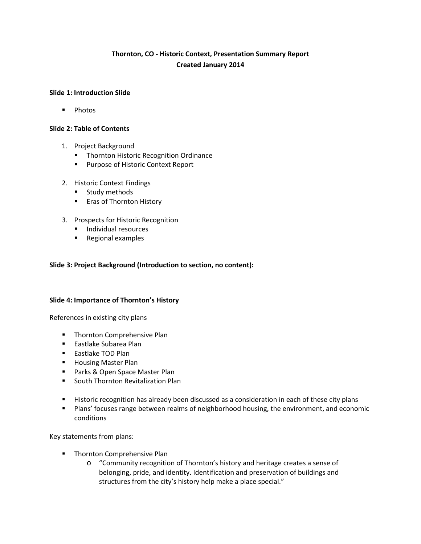# **Thornton, CO - Historic Context, Presentation Summary Report Created January 2014**

### **Slide 1: Introduction Slide**

**Photos** 

### **Slide 2: Table of Contents**

- 1. Project Background
	- **Thornton Historic Recognition Ordinance**
	- **Purpose of Historic Context Report**
- 2. Historic Context Findings
	- **Study methods**
	- **Example 1 Figs** of Thornton History
- 3. Prospects for Historic Recognition
	- **Individual resources**
	- **Regional examples**

### **Slide 3: Project Background (Introduction to section, no content):**

### **Slide 4: Importance of Thornton's History**

References in existing city plans

- **Thornton Comprehensive Plan**
- **Eastlake Subarea Plan**
- **Eastlake TOD Plan**
- **Housing Master Plan**
- **Parks & Open Space Master Plan**
- **South Thornton Revitalization Plan**
- **Historic recognition has already been discussed as a consideration in each of these city plans**
- **Plans' focuses range between realms of neighborhood housing, the environment, and economic** conditions

Key statements from plans:

- **Thornton Comprehensive Plan** 
	- o "Community recognition of Thornton's history and heritage creates a sense of belonging, pride, and identity. Identification and preservation of buildings and structures from the city's history help make a place special."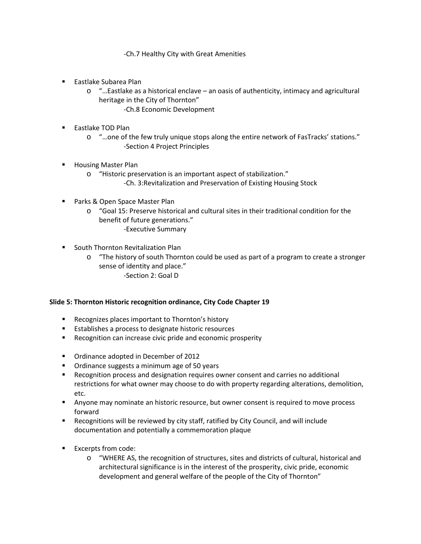-Ch.7 Healthy City with Great Amenities

- Eastlake Subarea Plan
	- $\circ$  "... Eastlake as a historical enclave an oasis of authenticity, intimacy and agricultural heritage in the City of Thornton"
		- -Ch.8 Economic Development
- **Eastlake TOD Plan** 
	- o "…one of the few truly unique stops along the entire network of FasTracks' stations." -Section 4 Project Principles
- Housing Master Plan
	- o "Historic preservation is an important aspect of stabilization." -Ch. 3:Revitalization and Preservation of Existing Housing Stock
- Parks & Open Space Master Plan
	- o "Goal 15: Preserve historical and cultural sites in their traditional condition for the benefit of future generations." -Executive Summary
- South Thornton Revitalization Plan
	- o "The history of south Thornton could be used as part of a program to create a stronger sense of identity and place." -Section 2: Goal D

### **Slide 5: Thornton Historic recognition ordinance, City Code Chapter 19**

- **Recognizes places important to Thornton's history**
- Establishes a process to designate historic resources
- **Recognition can increase civic pride and economic prosperity**
- **Ordinance adopted in December of 2012**
- **Ordinance suggests a minimum age of 50 years**
- Recognition process and designation requires owner consent and carries no additional restrictions for what owner may choose to do with property regarding alterations, demolition, etc.
- **Anyone may nominate an historic resource, but owner consent is required to move process** forward
- Recognitions will be reviewed by city staff, ratified by City Council, and will include documentation and potentially a commemoration plaque
- **Excerpts from code:** 
	- o "WHERE AS, the recognition of structures, sites and districts of cultural, historical and architectural significance is in the interest of the prosperity, civic pride, economic development and general welfare of the people of the City of Thornton"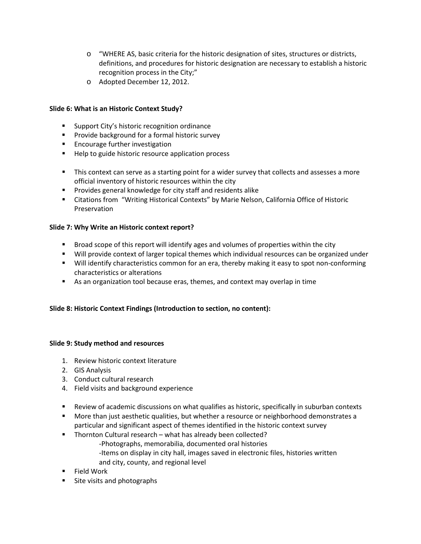- o "WHERE AS, basic criteria for the historic designation of sites, structures or districts, definitions, and procedures for historic designation are necessary to establish a historic recognition process in the City;"
- o Adopted December 12, 2012.

### **Slide 6: What is an Historic Context Study?**

- **Support City's historic recognition ordinance**
- **Provide background for a formal historic survey**
- **Encourage further investigation**
- Help to guide historic resource application process
- **This context can serve as a starting point for a wider survey that collects and assesses a more** official inventory of historic resources within the city
- **Provides general knowledge for city staff and residents alike**
- Citations from "Writing Historical Contexts" by Marie Nelson, California Office of Historic Preservation

### **Slide 7: Why Write an Historic context report?**

- **Broad scope of this report will identify ages and volumes of properties within the city**
- Will provide context of larger topical themes which individual resources can be organized under
- Will identify characteristics common for an era, thereby making it easy to spot non-conforming characteristics or alterations
- As an organization tool because eras, themes, and context may overlap in time

### **Slide 8: Historic Context Findings (Introduction to section, no content):**

### **Slide 9: Study method and resources**

- 1. Review historic context literature
- 2. GIS Analysis
- 3. Conduct cultural research
- 4. Field visits and background experience
- Review of academic discussions on what qualifies as historic, specifically in suburban contexts
- **More than just aesthetic qualities, but whether a resource or neighborhood demonstrates a** particular and significant aspect of themes identified in the historic context survey
- **Thornton Cultural research what has already been collected?** 
	- -Photographs, memorabilia, documented oral histories -Items on display in city hall, images saved in electronic files, histories written and city, county, and regional level
- Field Work
- **Site visits and photographs**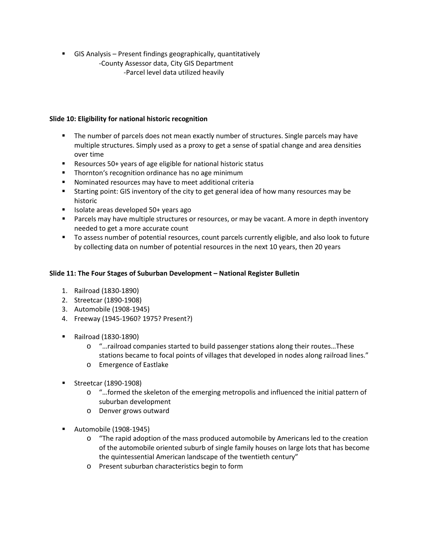GIS Analysis – Present findings geographically, quantitatively

-County Assessor data, City GIS Department -Parcel level data utilized heavily

### **Slide 10: Eligibility for national historic recognition**

- The number of parcels does not mean exactly number of structures. Single parcels may have multiple structures. Simply used as a proxy to get a sense of spatial change and area densities over time
- Resources 50+ years of age eligible for national historic status
- **Thornton's recognition ordinance has no age minimum**
- Nominated resources may have to meet additional criteria
- Starting point: GIS inventory of the city to get general idea of how many resources may be historic
- $\blacksquare$  Isolate areas developed 50+ years ago
- **Parcels may have multiple structures or resources, or may be vacant. A more in depth inventory** needed to get a more accurate count
- To assess number of potential resources, count parcels currently eligible, and also look to future by collecting data on number of potential resources in the next 10 years, then 20 years

## **Slide 11: The Four Stages of Suburban Development – National Register Bulletin**

- 1. Railroad (1830-1890)
- 2. Streetcar (1890-1908)
- 3. Automobile (1908-1945)
- 4. Freeway (1945-1960? 1975? Present?)
- Railroad (1830-1890)
	- o "…railroad companies started to build passenger stations along their routes…These stations became to focal points of villages that developed in nodes along railroad lines."
	- o Emergence of Eastlake
- **Streetcar (1890-1908)** 
	- o "…formed the skeleton of the emerging metropolis and influenced the initial pattern of suburban development
	- o Denver grows outward
- Automobile (1908-1945)
	- o "The rapid adoption of the mass produced automobile by Americans led to the creation of the automobile oriented suburb of single family houses on large lots that has become the quintessential American landscape of the twentieth century"
	- o Present suburban characteristics begin to form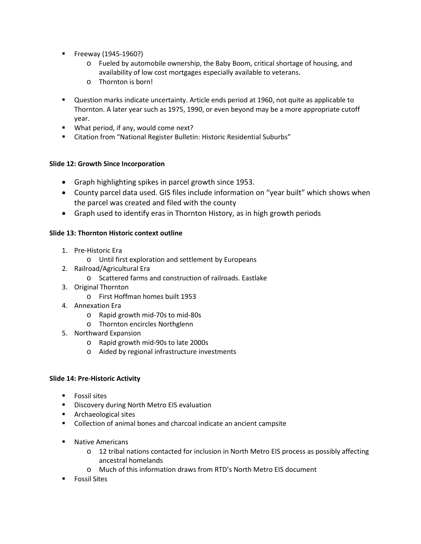- **Freeway (1945-1960?)** 
	- o Fueled by automobile ownership, the Baby Boom, critical shortage of housing, and availability of low cost mortgages especially available to veterans.
	- o Thornton is born!
- Question marks indicate uncertainty. Article ends period at 1960, not quite as applicable to Thornton. A later year such as 1975, 1990, or even beyond may be a more appropriate cutoff year.
- What period, if any, would come next?
- Citation from "National Register Bulletin: Historic Residential Suburbs"

## **Slide 12: Growth Since Incorporation**

- Graph highlighting spikes in parcel growth since 1953.
- County parcel data used. GIS files include information on "year built" which shows when the parcel was created and filed with the county
- Graph used to identify eras in Thornton History, as in high growth periods

### **Slide 13: Thornton Historic context outline**

- 1. Pre-Historic Era
	- o Until first exploration and settlement by Europeans
- 2. Railroad/Agricultural Era
	- o Scattered farms and construction of railroads. Eastlake
- 3. Original Thornton
	- o First Hoffman homes built 1953
- 4. Annexation Era
	- o Rapid growth mid-70s to mid-80s
	- o Thornton encircles Northglenn
- 5. Northward Expansion
	- o Rapid growth mid-90s to late 2000s
	- o Aided by regional infrastructure investments

### **Slide 14: Pre-Historic Activity**

- **Fossil sites**
- **Discovery during North Metro EIS evaluation**
- **Archaeological sites**
- Collection of animal bones and charcoal indicate an ancient campsite
- **Native Americans** 
	- o 12 tribal nations contacted for inclusion in North Metro EIS process as possibly affecting ancestral homelands
	- o Much of this information draws from RTD's North Metro EIS document
- **Fossil Sites**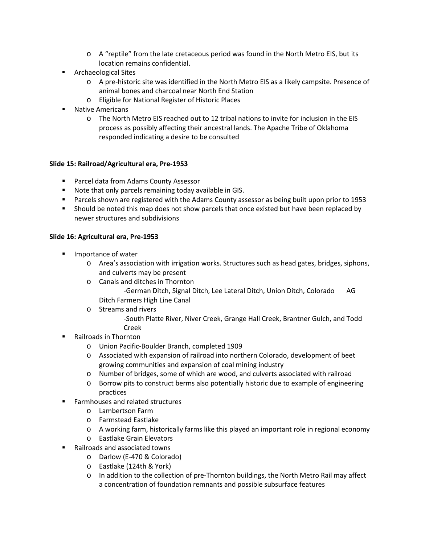- o A "reptile" from the late cretaceous period was found in the North Metro EIS, but its location remains confidential.
- **Archaeological Sites** 
	- o A pre-historic site was identified in the North Metro EIS as a likely campsite. Presence of animal bones and charcoal near North End Station
	- o Eligible for National Register of Historic Places
- Native Americans
	- o The North Metro EIS reached out to 12 tribal nations to invite for inclusion in the EIS process as possibly affecting their ancestral lands. The Apache Tribe of Oklahoma responded indicating a desire to be consulted

### **Slide 15: Railroad/Agricultural era, Pre-1953**

- **Parcel data from Adams County Assessor**
- Note that only parcels remaining today available in GIS.
- **Parcels shown are registered with the Adams County assessor as being built upon prior to 1953**
- Should be noted this map does not show parcels that once existed but have been replaced by newer structures and subdivisions

### **Slide 16: Agricultural era, Pre-1953**

- **IMPORTANCE OF WATER** 
	- o Area's association with irrigation works. Structures such as head gates, bridges, siphons, and culverts may be present
	- o Canals and ditches in Thornton -German Ditch, Signal Ditch, Lee Lateral Ditch, Union Ditch, Colorado AG Ditch Farmers High Line Canal
	- o Streams and rivers
		- -South Platte River, Niver Creek, Grange Hall Creek, Brantner Gulch, and Todd Creek
- Railroads in Thornton
	- o Union Pacific-Boulder Branch, completed 1909
	- o Associated with expansion of railroad into northern Colorado, development of beet growing communities and expansion of coal mining industry
	- o Number of bridges, some of which are wood, and culverts associated with railroad
	- o Borrow pits to construct berms also potentially historic due to example of engineering practices
- Farmhouses and related structures
	- o Lambertson Farm
	- o Farmstead Eastlake
	- o A working farm, historically farms like this played an important role in regional economy
	- o Eastlake Grain Elevators
- Railroads and associated towns
	- o Darlow (E-470 & Colorado)
	- o Eastlake (124th & York)
	- o In addition to the collection of pre-Thornton buildings, the North Metro Rail may affect a concentration of foundation remnants and possible subsurface features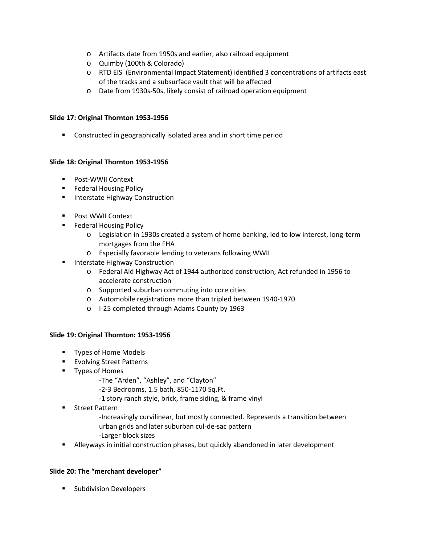- o Artifacts date from 1950s and earlier, also railroad equipment
- o Quimby (100th & Colorado)
- o RTD EIS (Environmental Impact Statement) identified 3 concentrations of artifacts east of the tracks and a subsurface vault that will be affected
- o Date from 1930s-50s, likely consist of railroad operation equipment

### **Slide 17: Original Thornton 1953-1956**

**EXP** Constructed in geographically isolated area and in short time period

### **Slide 18: Original Thornton 1953-1956**

- **Post-WWII Context**
- **Federal Housing Policy**
- **Interstate Highway Construction**
- **Post WWII Context**
- **Federal Housing Policy** 
	- o Legislation in 1930s created a system of home banking, led to low interest, long-term mortgages from the FHA
	- o Especially favorable lending to veterans following WWII
- Interstate Highway Construction
	- o Federal Aid Highway Act of 1944 authorized construction, Act refunded in 1956 to accelerate construction
	- o Supported suburban commuting into core cities
	- o Automobile registrations more than tripled between 1940-1970
	- o I-25 completed through Adams County by 1963

### **Slide 19: Original Thornton: 1953-1956**

- **Types of Home Models**
- **Evolving Street Patterns**
- **Types of Homes** 
	- -The "Arden", "Ashley", and "Clayton"
	- -2-3 Bedrooms, 1.5 bath, 850-1170 Sq.Ft.
	- -1 story ranch style, brick, frame siding, & frame vinyl
- **Street Pattern** 
	- -Increasingly curvilinear, but mostly connected. Represents a transition between urban grids and later suburban cul-de-sac pattern -Larger block sizes
- Alleyways in initial construction phases, but quickly abandoned in later development

## **Slide 20: The "merchant developer"**

**Subdivision Developers**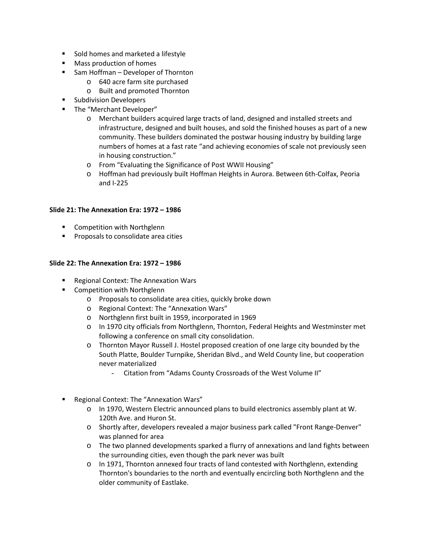- **Sold homes and marketed a lifestyle**
- **Mass production of homes**
- Sam Hoffman Developer of Thornton
	- o 640 acre farm site purchased
	- o Built and promoted Thornton
- **Subdivision Developers**
- **The "Merchant Developer"** 
	- o Merchant builders acquired large tracts of land, designed and installed streets and infrastructure, designed and built houses, and sold the finished houses as part of a new community. These builders dominated the postwar housing industry by building large numbers of homes at a fast rate "and achieving economies of scale not previously seen in housing construction."
	- o From "Evaluating the Significance of Post WWII Housing"
	- o Hoffman had previously built Hoffman Heights in Aurora. Between 6th-Colfax, Peoria and I-225

### **Slide 21: The Annexation Era: 1972 – 1986**

- **EXECOMPETE COMPETED COMPETED** With Northglenn
- **Proposals to consolidate area cities**

#### **Slide 22: The Annexation Era: 1972 – 1986**

- Regional Context: The Annexation Wars
- **EXECOMPETED COMPETED WATER INC.** 
	- o Proposals to consolidate area cities, quickly broke down
	- o Regional Context: The "Annexation Wars"
	- o Northglenn first built in 1959, incorporated in 1969
	- o In 1970 city officials from Northglenn, Thornton, Federal Heights and Westminster met following a conference on small city consolidation.
	- o Thornton Mayor Russell J. Hostel proposed creation of one large city bounded by the South Platte, Boulder Turnpike, Sheridan Blvd., and Weld County line, but cooperation never materialized
		- Citation from "Adams County Crossroads of the West Volume II"
- **Regional Context: The "Annexation Wars"** 
	- o In 1970, Western Electric announced plans to build electronics assembly plant at W. 120th Ave. and Huron St.
	- o Shortly after, developers revealed a major business park called "Front Range-Denver" was planned for area
	- o The two planned developments sparked a flurry of annexations and land fights between the surrounding cities, even though the park never was built
	- o In 1971, Thornton annexed four tracts of land contested with Northglenn, extending Thornton's boundaries to the north and eventually encircling both Northglenn and the older community of Eastlake.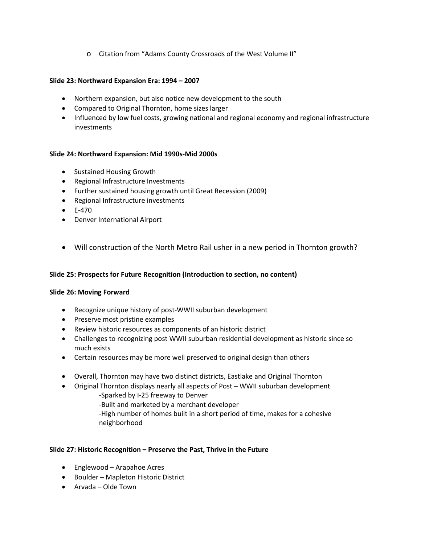o Citation from "Adams County Crossroads of the West Volume II"

### **Slide 23: Northward Expansion Era: 1994 – 2007**

- Northern expansion, but also notice new development to the south
- Compared to Original Thornton, home sizes larger
- Influenced by low fuel costs, growing national and regional economy and regional infrastructure investments

### **Slide 24: Northward Expansion: Mid 1990s-Mid 2000s**

- Sustained Housing Growth
- Regional Infrastructure Investments
- Further sustained housing growth until Great Recession (2009)
- Regional Infrastructure investments
- E-470
- Denver International Airport
- Will construction of the North Metro Rail usher in a new period in Thornton growth?

### **Slide 25: Prospects for Future Recognition (Introduction to section, no content)**

### **Slide 26: Moving Forward**

- Recognize unique history of post-WWII suburban development
- Preserve most pristine examples
- Review historic resources as components of an historic district
- Challenges to recognizing post WWII suburban residential development as historic since so much exists
- Certain resources may be more well preserved to original design than others
- Overall, Thornton may have two distinct districts, Eastlake and Original Thornton
- Original Thornton displays nearly all aspects of Post WWII suburban development
	- -Sparked by I-25 freeway to Denver
	- -Built and marketed by a merchant developer
	- -High number of homes built in a short period of time, makes for a cohesive neighborhood

### **Slide 27: Historic Recognition – Preserve the Past, Thrive in the Future**

- Englewood Arapahoe Acres
- Boulder Mapleton Historic District
- Arvada Olde Town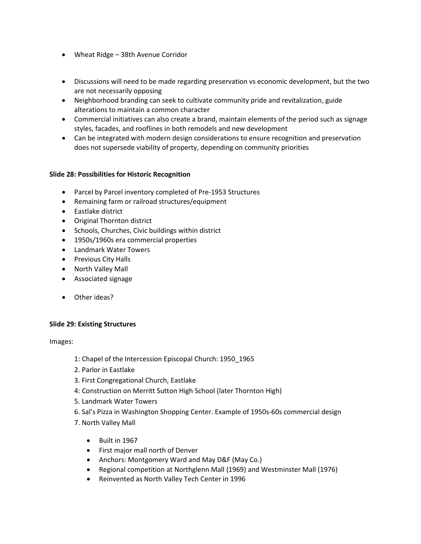- Wheat Ridge 38th Avenue Corridor
- Discussions will need to be made regarding preservation vs economic development, but the two are not necessarily opposing
- Neighborhood branding can seek to cultivate community pride and revitalization, guide alterations to maintain a common character
- Commercial initiatives can also create a brand, maintain elements of the period such as signage styles, facades, and rooflines in both remodels and new development
- Can be integrated with modern design considerations to ensure recognition and preservation does not supersede viability of property, depending on community priorities

### **Slide 28: Possibilities for Historic Recognition**

- Parcel by Parcel inventory completed of Pre-1953 Structures
- Remaining farm or railroad structures/equipment
- Eastlake district
- Original Thornton district
- Schools, Churches, Civic buildings within district
- 1950s/1960s era commercial properties
- Landmark Water Towers
- Previous City Halls
- North Valley Mall
- Associated signage
- Other ideas?

### **Slide 29: Existing Structures**

Images:

- 1: Chapel of the Intercession Episcopal Church: 1950\_1965
- 2. Parlor in Eastlake
- 3. First Congregational Church, Eastlake
- 4: Construction on Merritt Sutton High School (later Thornton High)
- 5. Landmark Water Towers
- 6. Sal's Pizza in Washington Shopping Center. Example of 1950s-60s commercial design
- 7. North Valley Mall
	- Built in 1967
	- First major mall north of Denver
	- Anchors: Montgomery Ward and May D&F (May Co.)
	- Regional competition at Northglenn Mall (1969) and Westminster Mall (1976)
	- Reinvented as North Valley Tech Center in 1996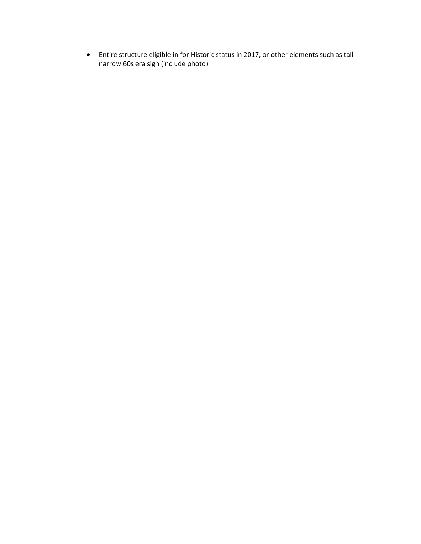• Entire structure eligible in for Historic status in 2017, or other elements such as tall narrow 60s era sign (include photo)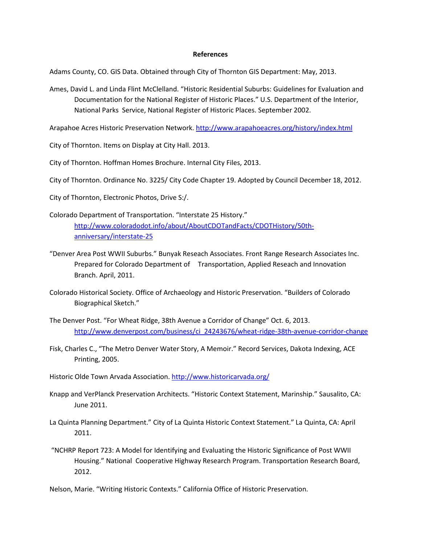#### **References**

Adams County, CO. GIS Data. Obtained through City of Thornton GIS Department: May, 2013.

Ames, David L. and Linda Flint McClelland. "Historic Residential Suburbs: Guidelines for Evaluation and Documentation for the National Register of Historic Places." U.S. Department of the Interior, National Parks Service, National Register of Historic Places. September 2002.

Arapahoe Acres Historic Preservation Network.<http://www.arapahoeacres.org/history/index.html>

City of Thornton. Items on Display at City Hall. 2013.

City of Thornton. Hoffman Homes Brochure. Internal City Files, 2013.

City of Thornton. Ordinance No. 3225/ City Code Chapter 19. Adopted by Council December 18, 2012.

City of Thornton, Electronic Photos, Drive S:/.

Colorado Department of Transportation. "Interstate 25 History." [http://www.coloradodot.info/about/AboutCDOTandFacts/CDOTHistory/50th](http://www.coloradodot.info/about/AboutCDOTandFacts/CDOTHistory/50th-anniversary/interstate-25)[anniversary/interstate-25](http://www.coloradodot.info/about/AboutCDOTandFacts/CDOTHistory/50th-anniversary/interstate-25)

- "Denver Area Post WWII Suburbs." Bunyak Reseach Associates. Front Range Research Associates Inc. Prepared for Colorado Department of Transportation, Applied Reseach and Innovation Branch. April, 2011.
- Colorado Historical Society. Office of Archaeology and Historic Preservation. "Builders of Colorado Biographical Sketch."
- The Denver Post. "For Wheat Ridge, 38th Avenue a Corridor of Change" Oct. 6, 2013. [http://www.denverpost.com/business/ci\\_24243676/wheat-ridge-38th-avenue-corridor-change](http://www.denverpost.com/business/ci_24243676/wheat-ridge-38th-avenue-corridor-change)
- Fisk, Charles C., "The Metro Denver Water Story, A Memoir." Record Services, Dakota Indexing, ACE Printing, 2005.
- Historic Olde Town Arvada Association[. http://www.historicarvada.org/](http://www.historicarvada.org/)
- Knapp and VerPlanck Preservation Architects. "Historic Context Statement, Marinship." Sausalito, CA: June 2011.
- La Quinta Planning Department." City of La Quinta Historic Context Statement." La Quinta, CA: April 2011.
- "NCHRP Report 723: A Model for Identifying and Evaluating the Historic Significance of Post WWII Housing." National Cooperative Highway Research Program. Transportation Research Board, 2012.
- Nelson, Marie. "Writing Historic Contexts." California Office of Historic Preservation.